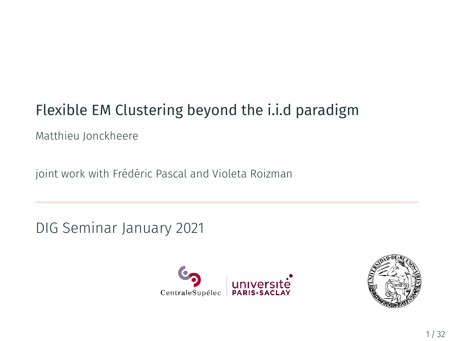# Flexible EM Clustering beyond the i.i.d paradigm

Matthieu Jonckheere

joint work with Frédéric Pascal and Violeta Roizman

DIG Seminar January 2021



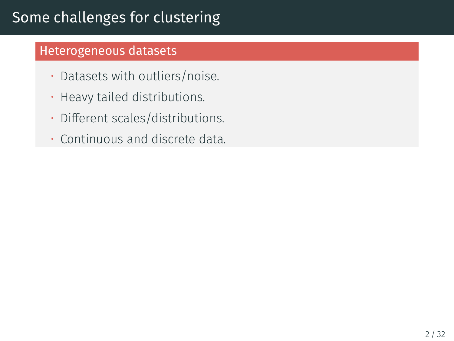# Some challenges for clustering

### Heterogeneous datasets

- Datasets with outliers/noise.
- Heavy tailed distributions.
- Different scales/distributions.
- Continuous and discrete data.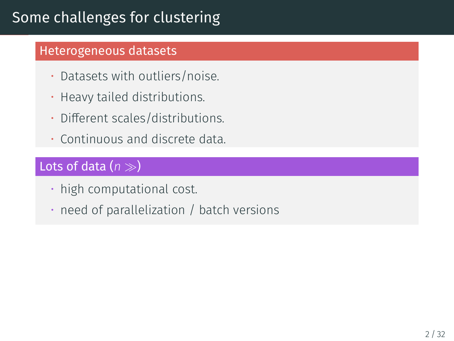# Some challenges for clustering

#### Heterogeneous datasets

- Datasets with outliers/noise.
- Heavy tailed distributions.
- Different scales/distributions.
- Continuous and discrete data.

### Lots of data (*n ≫*)

- high computational cost.
- need of parallelization / batch versions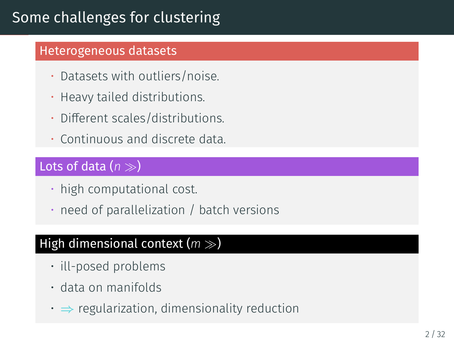# Some challenges for clustering

#### Heterogeneous datasets

- Datasets with outliers/noise.
- Heavy tailed distributions.
- Different scales/distributions.
- Continuous and discrete data.

### Lots of data (*n ≫*)

- high computational cost.
- need of parallelization / batch versions

### High dimensional context (*m ≫*)

- ill-posed problems
- data on manifolds
- *⇒* regularization, dimensionality reduction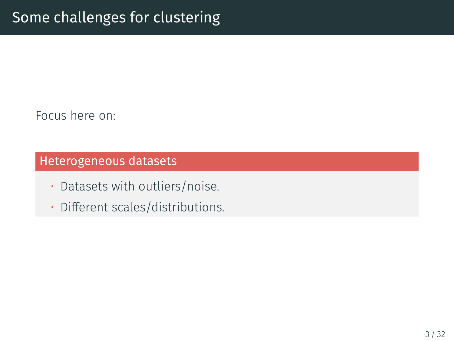Focus here on:

### Heterogeneous datasets

- Datasets with outliers/noise.
- Different scales/distributions.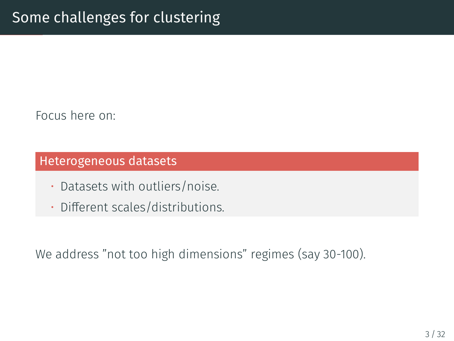Focus here on:

#### Heterogeneous datasets

- Datasets with outliers/noise.
- Different scales/distributions.

We address "not too high dimensions" regimes (say 30-100).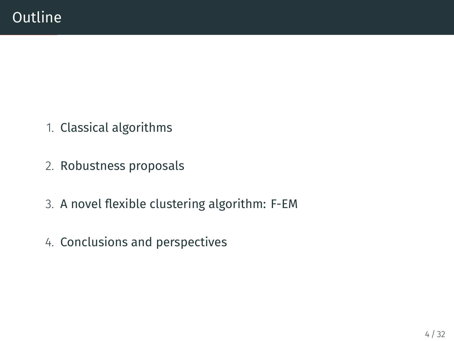- 1. Classical algorithms
- 2. Robustness proposals
- 3. A novel flexible clustering algorithm: F-EM
- 4. Conclusions and perspectives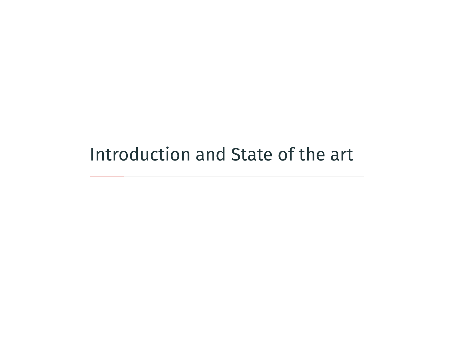# <span id="page-7-0"></span>[Introduction and State of the art](#page-7-0)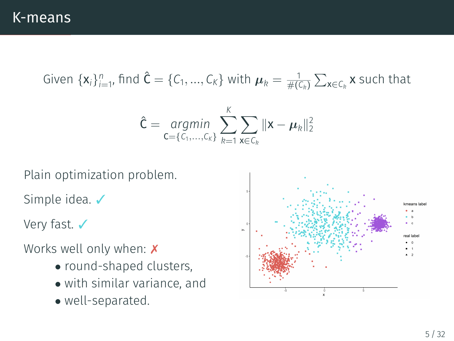Given  $\{x_i\}_{i=1}^n$ , find  $\hat{C} = \{C_1, ..., C_K\}$  with  $\mu_k = \frac{1}{\#(C_k)} \sum_{x \in C_k} x$  such that

$$
\hat{\mathbf{C}} = \underset{\mathbf{C} = \{C_1, ..., C_K\}}{\arg\min} \sum_{k=1}^K \sum_{\mathbf{x} \in C_k} ||\mathbf{x} - \boldsymbol{\mu}_k||_2^2
$$

Plain optimization problem.

Simple idea. ✓

Very fast. ✔

Works well only when: X

- *•* round-shaped clusters,
- *•* with similar variance, and
- *•* well-separated.

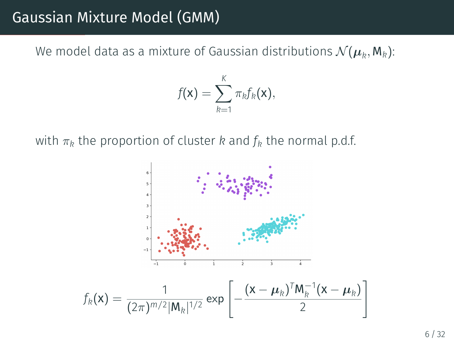### Gaussian Mixture Model (GMM)

We model data as a mixture of Gaussian distributions  $\mathcal{N}(\boldsymbol{\mu}_k,\mathsf{M}_k)$ :

$$
f(\mathbf{x}) = \sum_{k=1}^K \pi_k f_k(\mathbf{x}),
$$

with  $\pi_k$  the proportion of cluster *k* and  $f_k$  the normal p.d.f.

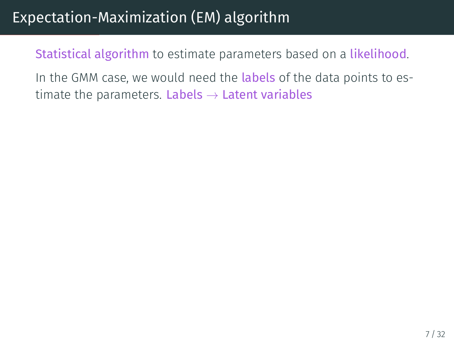# Expectation-Maximization (EM) algorithm

Statistical algorithm to estimate parameters based on a likelihood.

In the GMM case, we would need the **labels** of the data points to estimate the parameters. Labels *→* Latent variables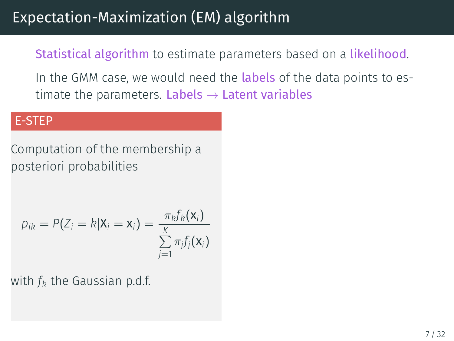# Expectation-Maximization (EM) algorithm

Statistical algorithm to estimate parameters based on a likelihood.

In the GMM case, we would need the **labels** of the data points to estimate the parameters. Labels *→* Latent variables

#### E-STEP

Computation of the membership a posteriori probabilities

$$
p_{ik} = P(Z_i = k | \mathbf{X}_i = \mathbf{x}_i) = \frac{\pi_k f_k(\mathbf{x}_i)}{\sum\limits_{j=1}^K \pi_j f_j(\mathbf{x}_i)}
$$

with *f<sup>k</sup>* the Gaussian p.d.f.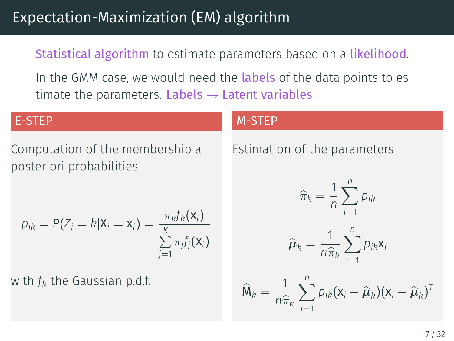# Expectation-Maximization (EM) algorithm

Statistical algorithm to estimate parameters based on a likelihood.

In the GMM case, we would need the **labels** of the data points to estimate the parameters. Labels *→* Latent variables

#### E-STEP

Computation of the membership a posteriori probabilities

$$
p_{ik} = P(Z_i = k | \mathbf{X}_i = \mathbf{x}_i) = \frac{\pi_k f_k(\mathbf{x}_i)}{\sum\limits_{j=1}^K \pi_j f_j(\mathbf{x}_i)}
$$

with *f<sup>k</sup>* the Gaussian p.d.f.

#### M-STEP

Estimation of the parameters

$$
\widehat{\pi}_k = \frac{1}{n} \sum_{i=1}^n p_{ik}
$$

$$
\widehat{\boldsymbol{\mu}}_k = \frac{1}{n\widehat{\pi}_k} \sum_{i=1}^n p_{ik} \mathbf{x}_i
$$

$$
\widehat{M}_k = \frac{1}{n\widehat{\pi}_k} \sum_{i=1}^n p_{ik} (\mathbf{x}_i - \widehat{\boldsymbol{\mu}}_k) (\mathbf{x}_i - \widehat{\boldsymbol{\mu}}_k)^T
$$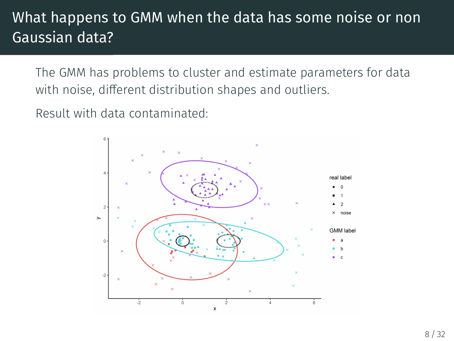# What happens to GMM when the data has some noise or non Gaussian data?

The GMM has problems to cluster and estimate parameters for data with noise, different distribution shapes and outliers.

Result with data contaminated:

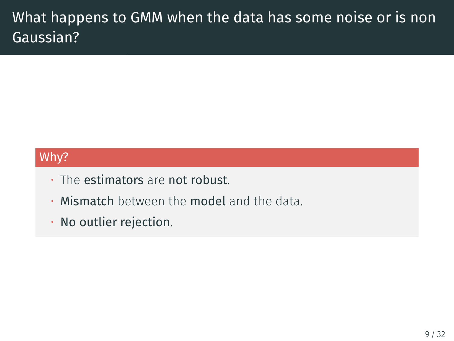# What happens to GMM when the data has some noise or is non Gaussian?

### Why?

- The estimators are not robust.
- Mismatch between the model and the data.
- No outlier rejection.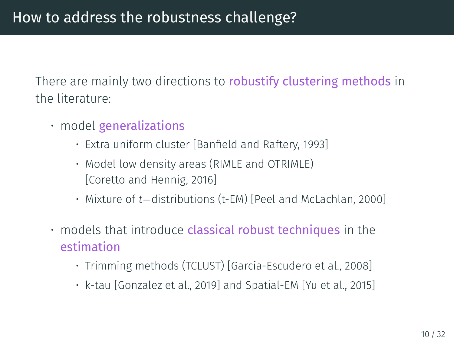There are mainly two directions to robustify clustering methods in the literature:

- model generalizations
	- Extra uniform cluster [\[Banfield and Raftery, 1993\]](#page-37-0)
	- Model low density areas (RIMLE and OTRIMLE) [\[Coretto and Hennig, 2016](#page-37-1)]
	- Mixture of *t−*distributions (t-EM) [\[Peel and McLachlan, 2000\]](#page-38-0)
- models that introduce classical robust techniques in the estimation
	- Trimming methods (TCLUST)[[García-Escudero et al., 2008\]](#page-37-2)
	- k-tau [\[Gonzalez et al., 2019](#page-38-1)] and Spatial-EM [\[Yu et al., 2015](#page-39-0)]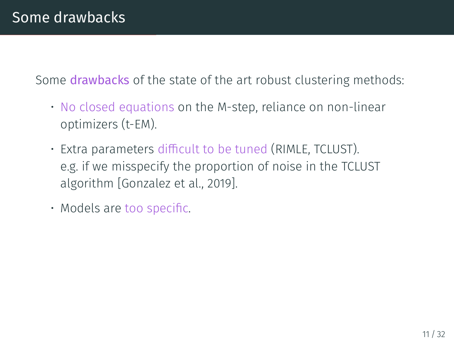Some **drawbacks** of the state of the art robust clustering methods:

- No closed equations on the M-step, reliance on non-linear optimizers (t-EM).
- Extra parameters difficult to be tuned (RIMLE, TCLUST). e.g. if we misspecify the proportion of noise in the TCLUST algorithm [\[Gonzalez et al., 2019](#page-38-1)].
- Models are too specific.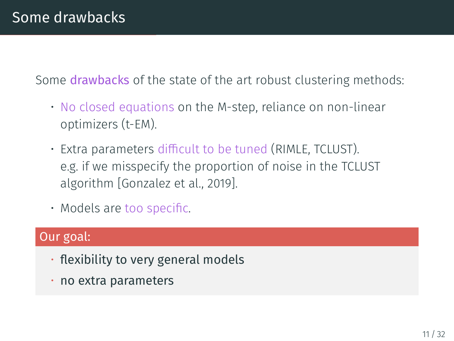Some **drawbacks** of the state of the art robust clustering methods:

- No closed equations on the M-step, reliance on non-linear optimizers (t-EM).
- Extra parameters difficult to be tuned (RIMLE, TCLUST). e.g. if we misspecify the proportion of noise in the TCLUST algorithm [\[Gonzalez et al., 2019](#page-38-1)].
- Models are too specific.

#### Our goal:

- flexibility to very general models
- no extra parameters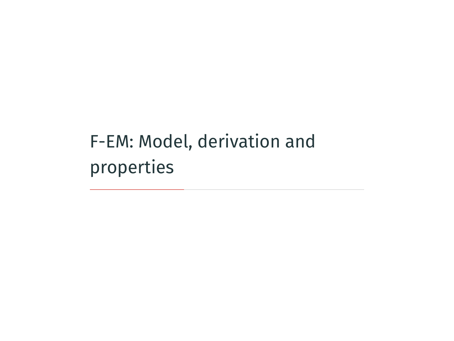<span id="page-18-0"></span>[F-EM: Model, derivation and](#page-18-0) [properties](#page-18-0)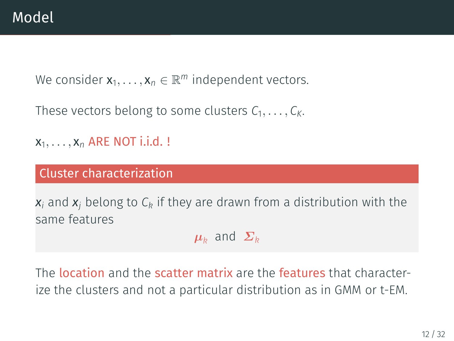We consider  $\mathsf{x}_1,\ldots,\mathsf{x}_n\in\mathbb{R}^m$  independent vectors.

These vectors belong to some clusters  $C_1, \ldots, C_K$ .

 $x_1, \ldots, x_n$  ARE NOT i.i.d. !

#### Cluster characterization

*x<sup>i</sup>* and *x<sup>j</sup>* belong to *C<sup>k</sup>* if they are drawn from a distribution with the same features

 $\mu_k$  and  $\Sigma_k$ 

The location and the scatter matrix are the features that characterize the clusters and not a particular distribution as in GMM or t-EM.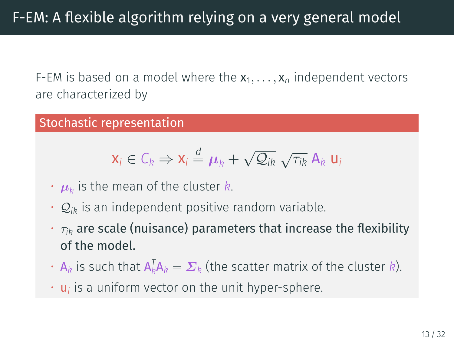F-EM is based on a model where the  $x_1, \ldots, x_n$  independent vectors are characterized by

#### Stochastic representation

$$
\mathbf{x}_i \in C_k \Rightarrow \mathbf{x}_i \stackrel{d}{=} \boldsymbol{\mu}_k + \sqrt{\mathcal{Q}_{ik}} \sqrt{\tau_{ik}} \mathbf{A}_k \mathbf{u}_i
$$

- $\cdot$   $\boldsymbol{\mu}_k$  is the mean of the cluster  $k.$
- $\cdot$   $\mathcal{Q}_{ik}$  is an independent positive random variable.
- *τik* are scale (nuisance) parameters that increase the flexibility of the model.
- $\cdot$  **A**<sub>k</sub> is such that  $A_k^T A_k = \Sigma_k$  (the scatter matrix of the cluster *k*).
- u*<sup>i</sup>* is a uniform vector on the unit hyper-sphere.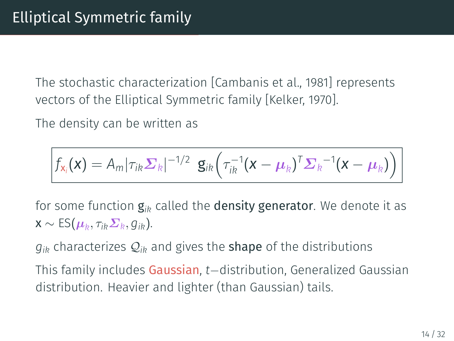The stochastic characterization[[Cambanis et al., 1981\]](#page-37-3) represents vectors of the Elliptical Symmetric family [\[Kelker, 1970](#page-38-2)].

The density can be written as

$$
f_{\mathbf{x}_i}(\mathbf{x}) = A_m |\tau_{ik} \Sigma_k|^{-1/2} \mathbf{g}_{ik}(\tau_{ik}^{-1}(\mathbf{x}-\boldsymbol{\mu}_k)^T \Sigma_k^{-1}(\mathbf{x}-\boldsymbol{\mu}_k))
$$

for some function g*ik* called the density generator. We denote it as  $\mathsf{x} \sim \textsf{ES}(\boldsymbol{\mu}_k, \tau_{ik} \boldsymbol{\Sigma}_k, g_{ik}).$ 

 $q_{ik}$  characterizes  $Q_{ik}$  and gives the **shape** of the distributions

This family includes Gaussian, *t−*distribution, Generalized Gaussian distribution. Heavier and lighter (than Gaussian) tails.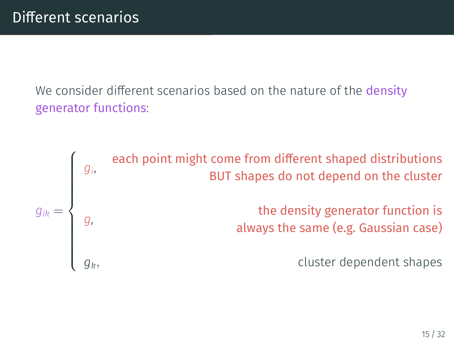We consider different scenarios based on the nature of the **density** generator functions:

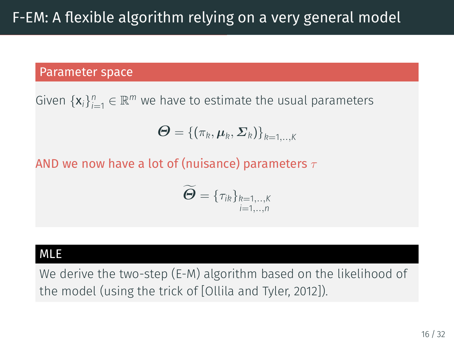#### Parameter space

Given  $\{x_i\}_{i=1}^n \in \mathbb{R}^m$  we have to estimate the usual parameters

$$
\boldsymbol{\Theta} = \left\{\left(\pi_k, \boldsymbol{\mu}_k, \boldsymbol{\varSigma}_k\right)\right\}_{k=1,..,K}
$$

AND we now have a lot of (nuisance) parameters *τ*

$$
\widetilde{\boldsymbol{\Theta}} = \{\tau_{ik}\}_{\substack{k=1,\ldots,K \\ i=1,\ldots,n}}
$$

#### MLE

We derive the two-step (E-M) algorithm based on the likelihood of the model (using the trick of[[Ollila and Tyler, 2012\]](#page-38-3)).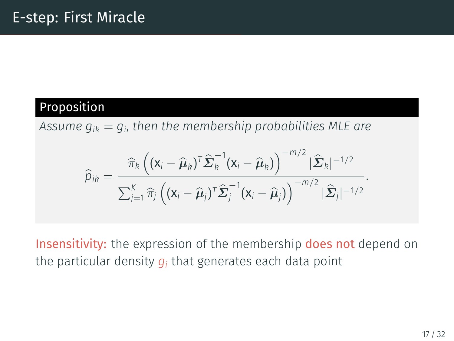### Proposition

*Assume gik* = *g<sup>i</sup> , then the membership probabilities MLE are*

$$
\widehat{p}_{ik} = \frac{\widehat{\pi}_k \left( (\mathbf{x}_i - \widehat{\boldsymbol{\mu}}_k)^T \widehat{\boldsymbol{\Sigma}}_k^{-1} (\mathbf{x}_i - \widehat{\boldsymbol{\mu}}_k) \right)^{-m/2} |\widehat{\boldsymbol{\Sigma}}_k|^{-1/2}}{\sum_{j=1}^K \widehat{\pi}_j \left( (\mathbf{x}_i - \widehat{\boldsymbol{\mu}}_j)^T \widehat{\boldsymbol{\Sigma}}_j^{-1} (\mathbf{x}_i - \widehat{\boldsymbol{\mu}}_j) \right)^{-m/2} |\widehat{\boldsymbol{\Sigma}}_j|^{-1/2}}
$$

Insensitivity: the expression of the membership does not depend on the particular density  $g_i$  that generates each data point

*.*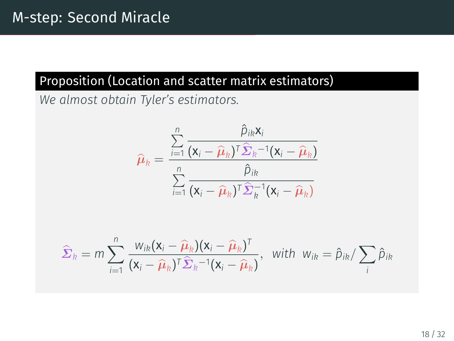### Proposition (Location and scatter matrix estimators)

*We almost obtain Tyler's estimators.*

$$
\widehat{\boldsymbol{\mu}}_k = \frac{\sum_{i=1}^n \frac{\widehat{\boldsymbol{\mu}}_{ik} \mathbf{x}_i}{(\mathbf{x}_i - \widehat{\boldsymbol{\mu}}_k)^T \widehat{\boldsymbol{\Sigma}}_k^{-1} (\mathbf{x}_i - \widehat{\boldsymbol{\mu}}_k)}}{\sum_{i=1}^n \frac{\widehat{\boldsymbol{\mu}}_{ik}}{(\mathbf{x}_i - \widehat{\boldsymbol{\mu}}_k)^T \widehat{\boldsymbol{\Sigma}}_k^{-1} (\mathbf{x}_i - \widehat{\boldsymbol{\mu}}_k)}}
$$

$$
\widehat{\Sigma}_k = m \sum_{i=1}^n \frac{w_{ik}(\mathbf{x}_i - \widehat{\boldsymbol{\mu}}_k)(\mathbf{x}_i - \widehat{\boldsymbol{\mu}}_k)^T}{(\mathbf{x}_i - \widehat{\boldsymbol{\mu}}_k)^T \widehat{\boldsymbol{\Sigma}}_k^{-1}(\mathbf{x}_i - \widehat{\boldsymbol{\mu}}_k)}, \text{ with } w_{ik} = \widehat{p}_{ik} / \sum_i \widehat{p}_{ik}
$$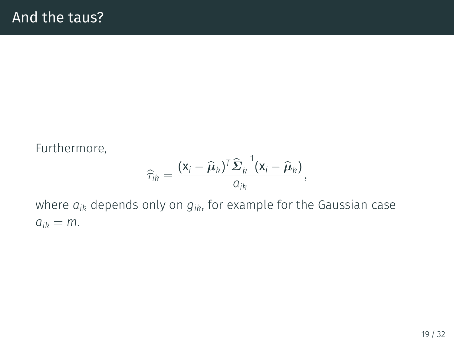#### Furthermore,

$$
\widehat{\tau}_{ik} = \frac{(\mathbf{x}_i - \widehat{\boldsymbol{\mu}}_k)^T \widehat{\boldsymbol{\Sigma}}_k^{-1} (\mathbf{x}_i - \widehat{\boldsymbol{\mu}}_k)}{a_{ik}},
$$

where *aik* depends only on *gik*, for example for the Gaussian case  $a_{ik} = m$ .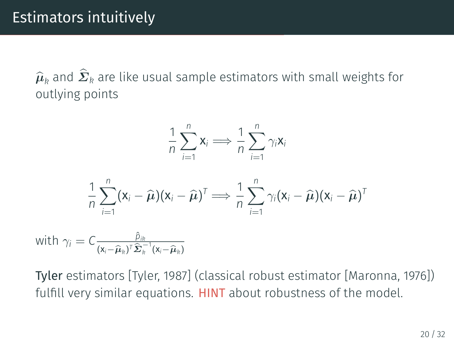$\widehat{\boldsymbol{\mu}}_k$  and  $\boldsymbol{\varSigma}_k$  are like usual sample estimators with small weights for outlying points

$$
\frac{1}{n}\sum_{i=1}^n\mathbf{x}_i \Longrightarrow \frac{1}{n}\sum_{i=1}^n\gamma_i\mathbf{x}_i
$$

$$
\frac{1}{n}\sum_{i=1}^n(\mathbf{x}_i-\widehat{\boldsymbol{\mu}})(\mathbf{x}_i-\widehat{\boldsymbol{\mu}})^T \Longrightarrow \frac{1}{n}\sum_{i=1}^n\gamma_i(\mathbf{x}_i-\widehat{\boldsymbol{\mu}})(\mathbf{x}_i-\widehat{\boldsymbol{\mu}})^T
$$

with  $\gamma_i = C \frac{\hat{p}_{ik}}{(x - \hat{p}_{i} + \hat{r}_{i})^T}$  $(\mathbf{x}_i - \widehat{\boldsymbol{\mu}}_k)^T \widehat{\boldsymbol{\Sigma}}_k^{-1} (\mathbf{x}_i - \widehat{\boldsymbol{\mu}}_k)$ 

Tyler estimators[[Tyler, 1987\]](#page-39-1) (classical robust estimator[[Maronna, 1976\]](#page-38-4)) fulfill very similar equations. **HINT** about robustness of the model.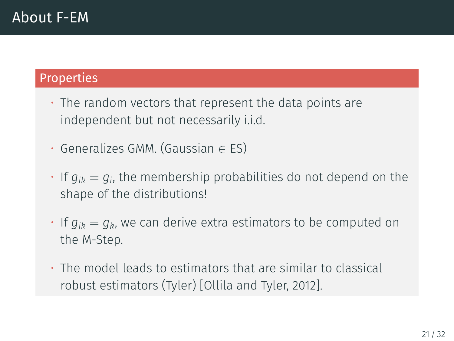### Properties

- The random vectors that represent the data points are independent but not necessarily i.i.d.
- Generalizes GMM. (Gaussian *∈* ES)
- $\cdot$  If  $g_{ik}=g_i$ , the membership probabilities do not depend on the shape of the distributions!
- $\cdot$  If  $q_{ik} = q_k$ , we can derive extra estimators to be computed on the M-Step.
- The model leads to estimators that are similar to classical robust estimators (Tyler)[[Ollila and Tyler, 2012\]](#page-38-3).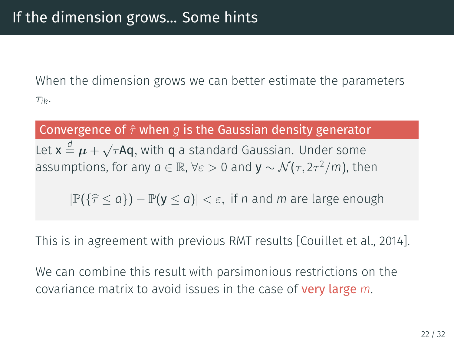When the dimension grows we can better estimate the parameters *τik*.

### Convergence of *τ*ˆ when *g* is the Gaussian density generator

Let  $x \stackrel{d}{=} \mu + \sqrt{\tau}$ Aq, with q a standard Gaussian. Under some  $a$  assumptions, for any  $a\in\mathbb{R}$ ,  $\forall \varepsilon >0$  and  $\mathsf{y}\sim\mathcal{N}(\tau,2\tau^2/m)$ , then

*<sup>|</sup>*P(*{τ*<sup>b</sup> *<sup>≤</sup> <sup>a</sup>}*) *<sup>−</sup>* <sup>P</sup>(<sup>y</sup> *<sup>≤</sup> <sup>a</sup>*)*<sup>|</sup> < ε,* if *<sup>n</sup>* and *<sup>m</sup>* are large enough

This is in agreement with previous RMT results [\[Couillet et al., 2014](#page-37-4)].

We can combine this result with parsimonious restrictions on the covariance matrix to avoid issues in the case of very large *m*.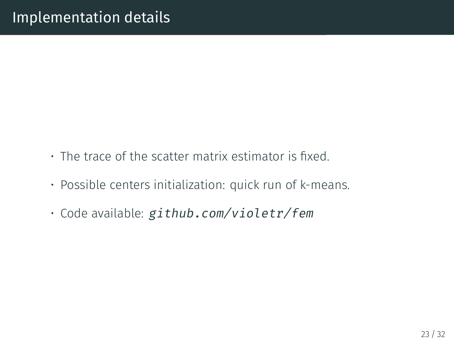- The trace of the scatter matrix estimator is fixed.
- Possible centers initialization: quick run of k-means.
- Code available: *github.com/violetr/fem*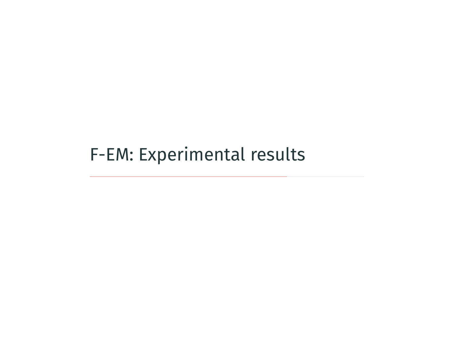<span id="page-31-0"></span>[F-EM: Experimental results](#page-31-0)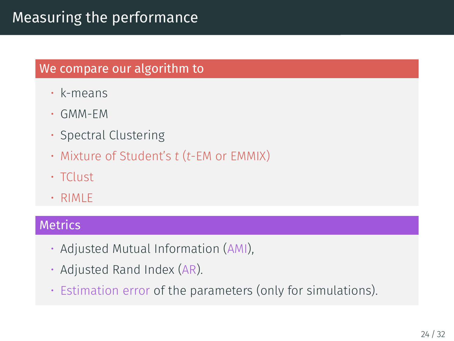### Measuring the performance

### We compare our algorithm to

- k-means
- GMM-EM
- Spectral Clustering
- Mixture of Student's *t* (*t*-EM or EMMIX)
- TClust
- RIMLE

#### **Metrics**

- Adjusted Mutual Information (AMI),
- Adjusted Rand Index (AR).
- Estimation error of the parameters (only for simulations).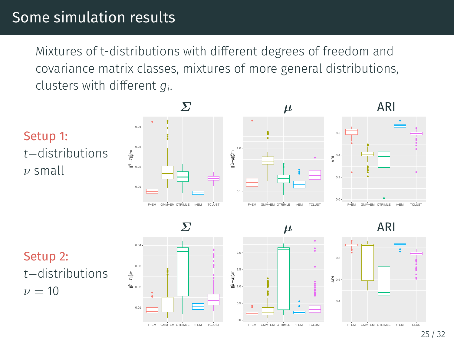### Some simulation results

Mixtures of t-distributions with different degrees of freedom and covariance matrix classes, mixtures of more general distributions, clusters with different *g<sup>i</sup>* .



Setup 2: *t−*distributions  $\nu = 10$ 





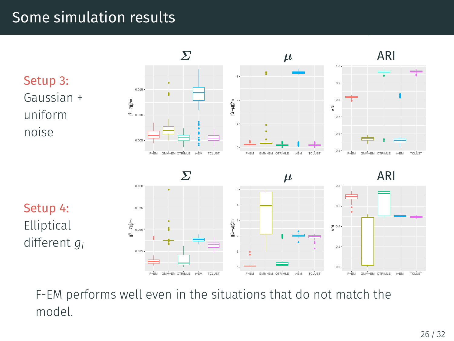### Some simulation results



F-EM performs well even in the situations that do not match the model.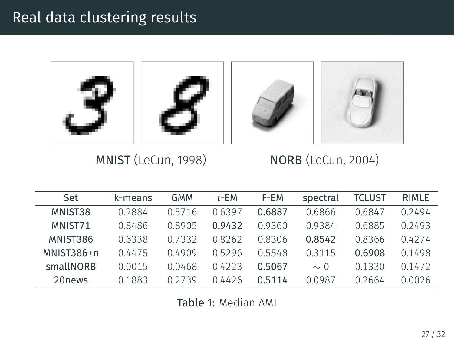### Real data clustering results



MNIST (LeCun, 1998) NORB (LeCun, 2004)

| Set        | k-means | GMM    | t-EM   | F-EM   | spectral | TCLUST | <b>RIMLE</b> |
|------------|---------|--------|--------|--------|----------|--------|--------------|
| MNIST38    | 0.2884  | 05716  | 06397  | 0.6887 | 0.6866   | 0.6847 | 0 24 94      |
| MNIST71    | 0.8486  | 08905  | 0.9432 | 09360  | 09384    | 0.6885 | 02493        |
| MNIST386   | 0.6338  | 0.7332 | 08262  | 0.8306 | 0.8542   | 0.8366 | 04274        |
| MNIST386+n | 0.4475  | በ 4909 | 05296  | 05548  | 0.3115   | 0.6908 | 01498        |
| smallNORB  | 00015   | 0 0468 | 04223  | 0.5067 | $\sim 0$ | 01330  | 0.1472       |
| 20news     | 01883   | 02739  | 04426  | 0.5114 | 0.0987   | 02664  | 0.0026       |

Table 1: Median AMI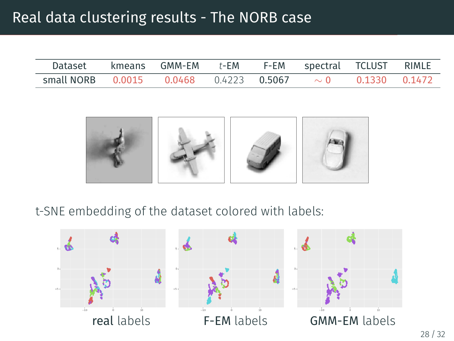### Real data clustering results - The NORB case

| Dataset kmeans GMM-EM t-EM                              |  |  | F-EM spectral TCLUST RIMLE |               |  |
|---------------------------------------------------------|--|--|----------------------------|---------------|--|
| small NORB $0.0015$ $0.0468$ $0.4223$ $0.5067$ $\sim 0$ |  |  |                            | 0.1330 0.1472 |  |



#### t-SNE embedding of the dataset colored with labels:

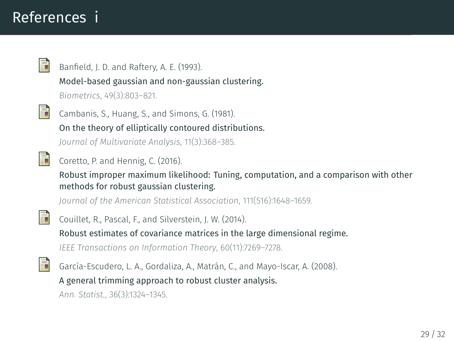### References i

<span id="page-37-0"></span>

Banfield, J. D. and Raftery, A. E. (1993).

Model-based gaussian and non-gaussian clustering.

*Biometrics*, 49(3):803–821.

<span id="page-37-3"></span>

Cambanis, S., Huang, S., and Simons, G. (1981).

On the theory of elliptically contoured distributions.

*Journal of Multivariate Analysis*, 11(3):368–385.

<span id="page-37-1"></span>

Coretto, P. and Hennig, C. (2016).

Robust improper maximum likelihood: Tuning, computation, and a comparison with other methods for robust gaussian clustering.

*Journal of the American Statistical Association*, 111(516):1648–1659.

<span id="page-37-4"></span>

Couillet, R., Pascal, F., and Silverstein, J. W. (2014).

Robust estimates of covariance matrices in the large dimensional regime.

*IEEE Transactions on Information Theory*, 60(11):7269–7278.

<span id="page-37-2"></span>

García-Escudero, L. A., Gordaliza, A., Matrán, C., and Mayo-Iscar, A. (2008).

A general trimming approach to robust cluster analysis.

*Ann. Statist.*, 36(3):1324–1345.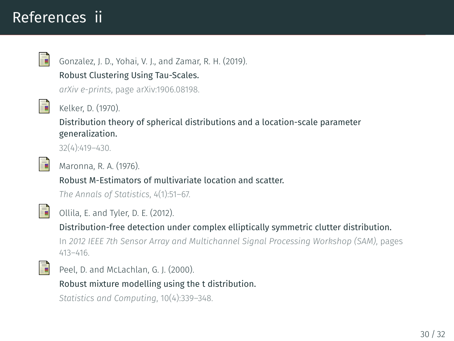### References ii

<span id="page-38-1"></span>

Gonzalez, J. D., Yohai, V. J., and Zamar, R. H. (2019).

Robust Clustering Using Tau-Scales.

*arXiv e-prints*, page arXiv:1906.08198.

<span id="page-38-2"></span>

Kelker, D. (1970).

Distribution theory of spherical distributions and a location-scale parameter generalization.

32(4):419–430.

<span id="page-38-4"></span>

Maronna, R. A. (1976).

Robust M-Estimators of multivariate location and scatter.

*The Annals of Statistics*, 4(1):51–67.

<span id="page-38-3"></span>

Ollila, E. and Tyler, D. E. (2012).

Distribution-free detection under complex elliptically symmetric clutter distribution.

In *2012 IEEE 7th Sensor Array and Multichannel Signal Processing Workshop (SAM)*, pages 413–416.

<span id="page-38-0"></span>

Peel, D. and McLachlan, G. J. (2000).

Robust mixture modelling using the t distribution.

*Statistics and Computing*, 10(4):339–348.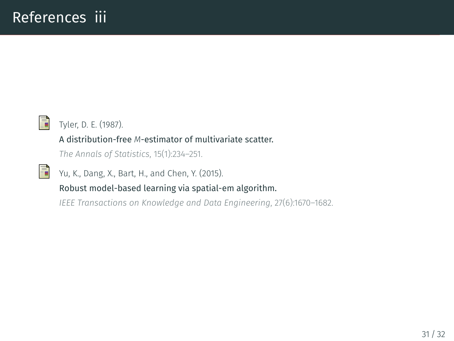<span id="page-39-1"></span>

<span id="page-39-0"></span>F

Tyler, D. E. (1987).

#### A distribution-free *M*-estimator of multivariate scatter.

*The Annals of Statistics*, 15(1):234–251.

Yu, K., Dang, X., Bart, H., and Chen, Y. (2015).

#### Robust model-based learning via spatial-em algorithm.

*IEEE Transactions on Knowledge and Data Engineering*, 27(6):1670–1682.